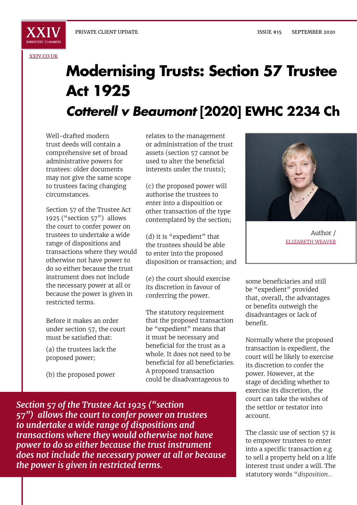

[XXIV.CO.UK](http://xxiv.co.uk)

## **Modernising Trusts: Section 57 Trustee Act 1925** *Cotterell v Beaumont* **[2020] EWHC 2234 Ch**

Well-drafted modern trust deeds will contain a comprehensive set of broad administrative powers for trustees: older documents may not give the same scope to trustees facing changing circumstances.

Section 57 of the Trustee Act 1925 ("section 57") allows the court to confer power on trustees to undertake a wide range of dispositions and transactions where they would otherwise not have power to do so either because the trust instrument does not include the necessary power at all or because the power is given in restricted terms.

Before it makes an order under section 57, the court must be satisfied that:

(a) the trustees lack the proposed power;

(b) the proposed power

relates to the management or administration of the trust assets (section 57 cannot be used to alter the beneficial interests under the trusts);

(c) the proposed power will authorise the trustees to enter into a disposition or other transaction of the type contemplated by the section;

(d) it is "expedient" that the trustees should be able to enter into the proposed disposition or transaction; and

(e) the court should exercise its discretion in favour of conferring the power.

The statutory requirement that the proposed transaction be "expedient" means that it must be necessary and beneficial for the trust as a whole. It does not need to be beneficial for all beneficiaries. A proposed transaction could be disadvantageous to



Author / ELIZABETH WEAVER

some beneficiaries and still be "expedient" provided that, overall, the advantages or benefits outweigh the disadvantages or lack of benefit.

Normally where the proposed transaction is expedient, the court will be likely to exercise its discretion to confer the power. However, at the stage of deciding whether to exercise its discretion, the court can take the wishes of the settlor or testator into account.

The classic use of section 57 is to empower trustees to enter into a specific transaction e.g to sell a property held on a life interest trust under a will. The statutory words "*disposition…*

*Section 57 of the Trustee Act 1925 ("section 57") allows the court to confer power on trustees to undertake a wide range of dispositions and transactions where they would otherwise not have power to do so either because the trust instrument does not include the necessary power at all or because the power is given in restricted terms.*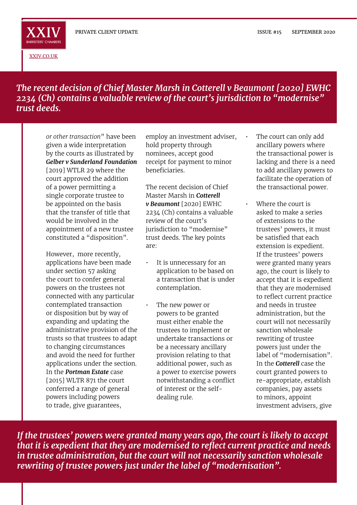

[XXIV.CO.UK](http://xxiv.co.uk)

## *The recent decision of Chief Master Marsh in Cotterell v Beaumont [2020] EWHC 2234 (Ch) contains a valuable review of the court's jurisdiction to "modernise" trust deeds.*

*or other transaction*" have been given a wide interpretation by the courts as illustrated by *Gelber v Sunderland Foundation* [2019] WTLR 29 where the court approved the addition of a power permitting a single corporate trustee to be appointed on the basis that the transfer of title that would be involved in the appointment of a new trustee constituted a "disposition".

However, more recently, applications have been made under section 57 asking the court to confer general powers on the trustees not connected with any particular contemplated transaction or disposition but by way of expanding and updating the administrative provision of the trusts so that trustees to adapt to changing circumstances and avoid the need for further applications under the section. In the *Portman Estate* case [2015] WLTR 871 the court conferred a range of general powers including powers to trade, give guarantees,

employ an investment adviser, hold property through nominees, accept good receipt for payment to minor beneficiaries.

The recent decision of Chief Master Marsh in *Cotterell v Beaumont* [2020] EWHC 2234 (Ch) contains a valuable review of the court's jurisdiction to "modernise" trust deeds. The key points are:

- It is unnecessary for an application to be based on a transaction that is under contemplation.
- The new power or powers to be granted must either enable the trustees to implement or undertake transactions or be a necessary ancillary provision relating to that additional power, such as a power to exercise powers notwithstanding a conflict of interest or the selfdealing rule.
- The court can only add ancillary powers where the transactional power is lacking and there is a need to add ancillary powers to facilitate the operation of the transactional power.
- Where the court is asked to make a series of extensions to the trustees' powers, it must be satisfied that each extension is expedient. If the trustees' powers were granted many years ago, the court is likely to accept that it is expedient that they are modernised to reflect current practice and needs in trustee administration, but the court will not necessarily sanction wholesale rewriting of trustee powers just under the label of "modernisation". In the *Cotterell* case the court granted powers to re-appropriate, establish companies, pay assets to minors, appoint investment advisers, give

*If the trustees' powers were granted many years ago, the court is likely to accept that it is expedient that they are modernised to reflect current practice and needs in trustee administration, but the court will not necessarily sanction wholesale rewriting of trustee powers just under the label of "modernisation".*